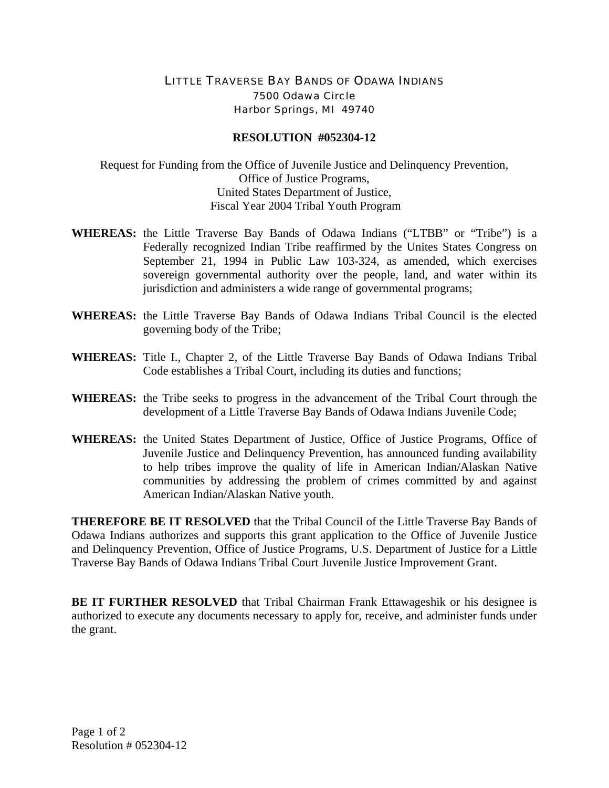## LITTLE TRAVERSE BAY BANDS OF ODAWA INDIANS 7500 Odawa Circle Harbor Springs, MI 49740

## **RESOLUTION #052304-12**

Request for Funding from the Office of Juvenile Justice and Delinquency Prevention, Office of Justice Programs, United States Department of Justice, Fiscal Year 2004 Tribal Youth Program

- **WHEREAS:** the Little Traverse Bay Bands of Odawa Indians ("LTBB" or "Tribe") is a Federally recognized Indian Tribe reaffirmed by the Unites States Congress on September 21, 1994 in Public Law 103-324, as amended, which exercises sovereign governmental authority over the people, land, and water within its jurisdiction and administers a wide range of governmental programs;
- **WHEREAS:** the Little Traverse Bay Bands of Odawa Indians Tribal Council is the elected governing body of the Tribe;
- **WHEREAS:** Title I., Chapter 2, of the Little Traverse Bay Bands of Odawa Indians Tribal Code establishes a Tribal Court, including its duties and functions;
- **WHEREAS:** the Tribe seeks to progress in the advancement of the Tribal Court through the development of a Little Traverse Bay Bands of Odawa Indians Juvenile Code;
- **WHEREAS:** the United States Department of Justice, Office of Justice Programs, Office of Juvenile Justice and Delinquency Prevention, has announced funding availability to help tribes improve the quality of life in American Indian/Alaskan Native communities by addressing the problem of crimes committed by and against American Indian/Alaskan Native youth.

**THEREFORE BE IT RESOLVED** that the Tribal Council of the Little Traverse Bay Bands of Odawa Indians authorizes and supports this grant application to the Office of Juvenile Justice and Delinquency Prevention, Office of Justice Programs, U.S. Department of Justice for a Little Traverse Bay Bands of Odawa Indians Tribal Court Juvenile Justice Improvement Grant.

**BE IT FURTHER RESOLVED** that Tribal Chairman Frank Ettawageshik or his designee is authorized to execute any documents necessary to apply for, receive, and administer funds under the grant.